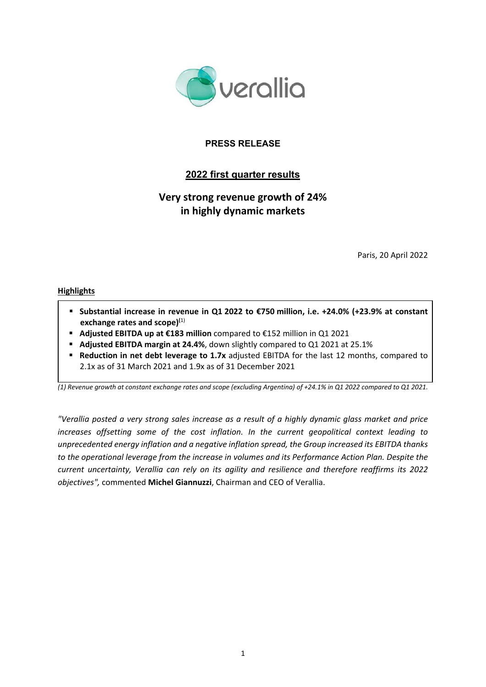

# **PRESS RELEASE**

# **2022 first quarter results**

# **Very strong revenue growth of 24% in highly dynamic markets**

Paris, 20 April 2022

### **Highlights**

- **Substantial increase in revenue in Q1 2022 to €750 million, i.e. +24.0% (+23.9% at constant exchange rates and scope)(**1)
- **Adjusted EBITDA up at €183 million** compared to €152 million in Q1 2021
- **Adjusted EBITDA margin at 24.4%**, down slightly compared to Q1 2021 at 25.1%
- **Reduction in net debt leverage to 1.7x** adjusted EBITDA for the last 12 months, compared to 2.1x as of 31 March 2021 and 1.9x as of 31 December 2021

(1) Revenue growth at constant exchange rates and scope (excluding Argentina) of +24.1% in Q1 2022 compared to Q1 2021.

"Verallia posted a very strong sales increase as a result of a highly dynamic glass market and price *increases offsetting some of the cost inflation. In the current geopolitical context leading to unprecedented energy inflation and a negative inflation spread, the Group increased its EBITDA thanks to the operational leverage from the increase in volumes and its Performance Action Plan. Despite the current uncertainty, Verallia can rely on its agility and resilience and therefore reaffirms its 2022 objectives",* commented **Michel Giannuzzi**, Chairman and CEO of Verallia.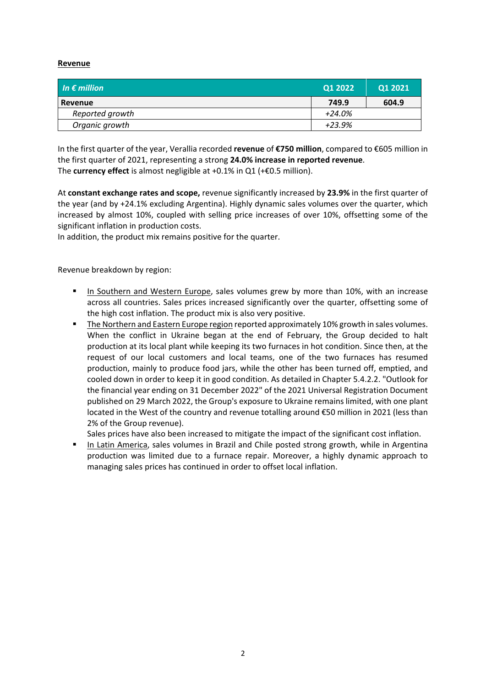### **Revenue**

| In $\epsilon$ million | Q1 20221 | Q1 2021 |
|-----------------------|----------|---------|
| Revenue               | 749.9    | 604.9   |
| Reported growth       | $+24.0%$ |         |
| Organic growth        | $+23.9%$ |         |

In the first quarter of the year, Verallia recorded **revenue** of **€750 million**, compared to €605 million in the first quarter of 2021, representing a strong **24.0% increase in reported revenue**. The **currency effect** is almost negligible at +0.1% in Q1 (+€0.5 million).

At **constant exchange rates and scope,** revenue significantly increased by **23.9%** in the first quarter of the year (and by +24.1% excluding Argentina). Highly dynamic sales volumes over the quarter, which increased by almost 10%, coupled with selling price increases of over 10%, offsetting some of the significant inflation in production costs.

In addition, the product mix remains positive for the quarter.

Revenue breakdown by region:

- In Southern and Western Europe, sales volumes grew by more than 10%, with an increase across all countries. Sales prices increased significantly over the quarter, offsetting some of the high cost inflation. The product mix is also very positive.
- The Northern and Eastern Europe region reported approximately 10% growth in sales volumes. When the conflict in Ukraine began at the end of February, the Group decided to halt production at its local plant while keeping its two furnaces in hot condition. Since then, at the request of our local customers and local teams, one of the two furnaces has resumed production, mainly to produce food jars, while the other has been turned off, emptied, and cooled down in order to keep it in good condition. As detailed in Chapter 5.4.2.2. "Outlook for the financial year ending on 31 December 2022" of the 2021 Universal Registration Document published on 29 March 2022, the Group's exposure to Ukraine remains limited, with one plant located in the West of the country and revenue totalling around €50 million in 2021 (less than 2% of the Group revenue).

Sales prices have also been increased to mitigate the impact of the significant cost inflation.

In Latin America, sales volumes in Brazil and Chile posted strong growth, while in Argentina production was limited due to a furnace repair. Moreover, a highly dynamic approach to managing sales prices has continued in order to offset local inflation.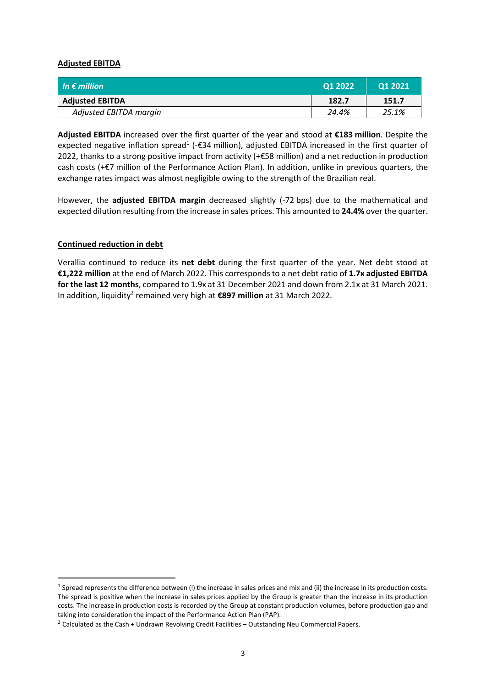### **Adjusted EBITDA**

| In $\epsilon$ million  | 01 2022 | <b>Q1 2021</b> |
|------------------------|---------|----------------|
| <b>Adjusted EBITDA</b> | 182.7   | 151.7          |
| Adjusted EBITDA margin | 24.4%   | 25.1%          |

**Adjusted EBITDA** increased over the first quarter of the year and stood at **€183 million**. Despite the expected negative inflation spread<sup>1</sup> (- $\epsilon$ 34 million), adjusted EBITDA increased in the first quarter of 2022, thanks to a strong positive impact from activity (+€58 million) and a net reduction in production cash costs (+€7 million of the Performance Action Plan). In addition, unlike in previous quarters, the exchange rates impact was almost negligible owing to the strength of the Brazilian real.

However, the **adjusted EBITDA margin** decreased slightly (‐72 bps) due to the mathematical and expected dilution resulting from the increase in sales prices. This amounted to **24.4%** over the quarter.

### **Continued reduction in debt**

Verallia continued to reduce its **net debt** during the first quarter of the year. Net debt stood at **€1,222 million** at the end of March 2022. This corresponds to a net debt ratio of **1.7x adjusted EBITDA for the last 12 months**, compared to 1.9x at 31 December 2021 and down from 2.1x at 31 March 2021. In addition, liquidity2 remained very high at **€897 million** at 31 March 2022.

 $1$  Spread represents the difference between (i) the increase in sales prices and mix and (ii) the increase in its production costs. The spread is positive when the increase in sales prices applied by the Group is greater than the increase in its production costs. The increase in production costs is recorded by the Group at constant production volumes, before production gap and taking into consideration the impact of the Performance Action Plan (PAP).

 $2$  Calculated as the Cash + Undrawn Revolving Credit Facilities – Outstanding Neu Commercial Papers.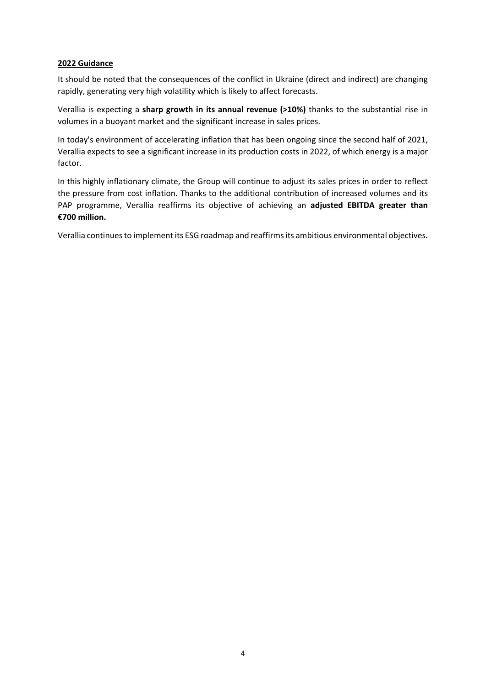### **2022 Guidance**

It should be noted that the consequences of the conflict in Ukraine (direct and indirect) are changing rapidly, generating very high volatility which is likely to affect forecasts.

Verallia is expecting a **sharp growth in its annual revenue (>10%)** thanks to the substantial rise in volumes in a buoyant market and the significant increase in sales prices.

In today's environment of accelerating inflation that has been ongoing since the second half of 2021, Verallia expects to see a significant increase in its production costs in 2022, of which energy is a major factor.

In this highly inflationary climate, the Group will continue to adjust its sales prices in order to reflect the pressure from cost inflation. Thanks to the additional contribution of increased volumes and its PAP programme, Verallia reaffirms its objective of achieving an **adjusted EBITDA greater than €700 million.**

Verallia continues to implement its ESG roadmap and reaffirms its ambitious environmental objectives.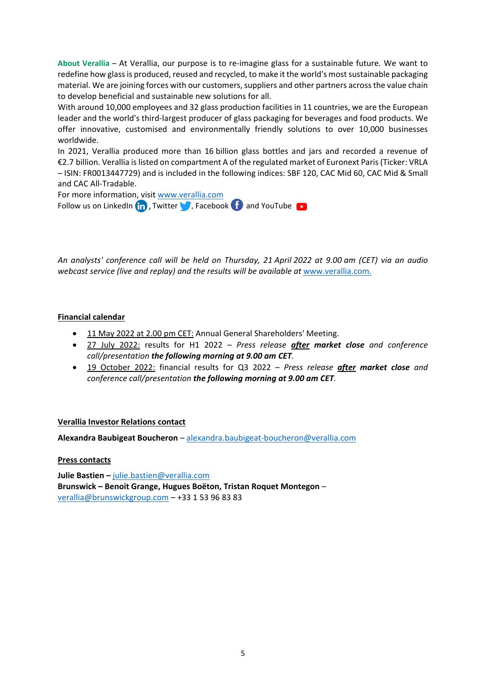**About Verallia** – At Verallia, our purpose is to re‐imagine glass for a sustainable future. We want to redefine how glass is produced, reused and recycled, to make it the world's most sustainable packaging material. We are joining forces with our customers, suppliers and other partners across the value chain to develop beneficial and sustainable new solutions for all.

With around 10,000 employees and 32 glass production facilities in 11 countries, we are the European leader and the world's third‐largest producer of glass packaging for beverages and food products. We offer innovative, customised and environmentally friendly solutions to over 10,000 businesses worldwide.

In 2021, Verallia produced more than 16 billion glass bottles and jars and recorded a revenue of €2.7 billion. Verallia islisted on compartment A of the regulated market of Euronext Paris(Ticker: VRLA – ISIN: FR0013447729) and is included in the following indices: SBF 120, CAC Mid 60, CAC Mid & Small and CAC All‐Tradable.

For more information, visit www.verallia.com

Follow us on LinkedIn  $\left(\frac{1}{11}\right)$ , Twitter  $\left(\frac{1}{11}\right)$ , Facebook  $\left(\frac{1}{11}\right)$  and YouTube

An analysts' conference call will be held on Thursday, 21 April 2022 at 9.00 am (CET) via an audio *webcast service (live and replay) and the results will be available at* www.verallia.com.

# **Financial calendar**

- 11 May 2022 at 2.00 pm CET: Annual General Shareholders' Meeting.
- 27 July 2022: results for H1 2022 *Press release after market close and conference call/presentation the following morning at 9.00 am CET.*
- 19 October 2022: financial results for Q3 2022 *Press release after market close and conference call/presentation the following morning at 9.00 am CET.*

### **Verallia Investor Relations contact**

**Alexandra Baubigeat Boucheron** – alexandra.baubigeat‐boucheron@verallia.com

### **Press contacts**

**Julie Bastien –** julie.bastien@verallia.com **Brunswick – Benoit Grange, Hugues Boëton, Tristan Roquet Montegon** – verallia@brunswickgroup.com – +33 1 53 96 83 83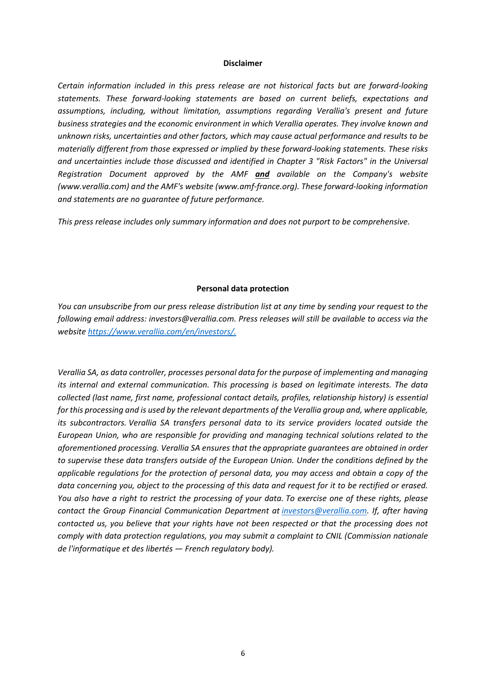#### **Disclaimer**

*Certain information included in this press release are not historical facts but are forward‐looking statements. These forward‐looking statements are based on current beliefs, expectations and assumptions, including, without limitation, assumptions regarding Verallia's present and future business strategies and the economic environment in which Verallia operates. They involve known and unknown risks, uncertainties and other factors, which may cause actual performance and results to be materially different from those expressed or implied by these forward‐looking statements. These risks and uncertainties include those discussed and identified in Chapter 3 "Risk Factors" in the Universal Registration Document approved by the AMF and available on the Company's website (www.verallia.com) and the AMF's website (www.amf‐france.org). These forward‐looking information and statements are no guarantee of future performance.*

*This press release includes only summary information and does not purport to be comprehensive.*

#### **Personal data protection**

You can unsubscribe from our press release distribution list at any time by sending your request to the *following email address: investors@verallia.com. Press releases will still be available to access via the website https://www.verallia.com/en/investors/.*

*Verallia SA, as data controller, processes personal data for the purpose of implementing and managing its internal and external communication. This processing is based on legitimate interests. The data collected (last name, first name, professional contact details, profiles, relationship history) is essential for this processing and is used by the relevant departments of the Verallia group and, where applicable, its subcontractors. Verallia SA transfers personal data to its service providers located outside the European Union, who are responsible for providing and managing technical solutions related to the aforementioned processing. Verallia SA ensures that the appropriate guarantees are obtained in order to supervise these data transfers outside of the European Union. Under the conditions defined by the applicable regulations for the protection of personal data, you may access and obtain a copy of the* data concerning you, object to the processing of this data and request for it to be rectified or erased. You also have a right to restrict the processing of your data. To exercise one of these rights, please *contact the Group Financial Communication Department at investors@verallia.com. If, after having contacted us, you believe that your rights have not been respected or that the processing does not comply with data protection regulations, you may submit a complaint to CNIL (Commission nationale de l'informatique et des libertés — French regulatory body).*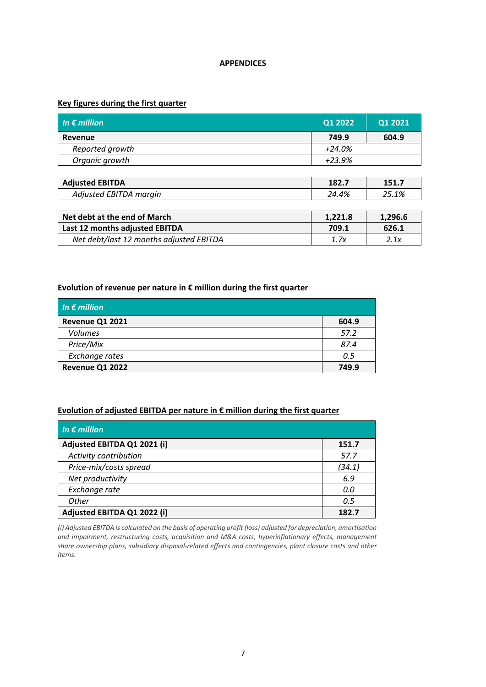### **APPENDICES**

# **Key figures during the first quarter**

| In $\epsilon$ million                   | Q1 2022  | Q1 2021 |
|-----------------------------------------|----------|---------|
| Revenue                                 | 749.9    | 604.9   |
| Reported growth                         | $+24.0%$ |         |
| Organic growth                          | $+23.9%$ |         |
|                                         |          |         |
| <b>Adjusted EBITDA</b>                  | 182.7    | 151.7   |
| Adjusted EBITDA margin                  | 24.4%    | 25.1%   |
|                                         |          |         |
| Net debt at the end of March            | 1,221.8  | 1,296.6 |
| Last 12 months adjusted EBITDA          | 709.1    | 626.1   |
| Net debt/last 12 months adjusted EBITDA | 1.7x     | 2.1x    |

# **Evolution of revenue per nature in € million during the first quarter**

| In $\epsilon$ million |       |
|-----------------------|-------|
| Revenue Q1 2021       | 604.9 |
| <b>Volumes</b>        | 57.2  |
| Price/Mix             | 87.4  |
| Exchange rates        | 0.5   |
| Revenue Q1 2022       | 749.9 |

### **Evolution of adjusted EBITDA per nature in € million during the first quarter**

| In $\epsilon$ million       |        |
|-----------------------------|--------|
| Adjusted EBITDA Q1 2021 (i) | 151.7  |
| Activity contribution       | 57.7   |
| Price-mix/costs spread      | (34.1) |
| Net productivity            | 6.9    |
| Exchange rate               | 0.0    |
| <b>Other</b>                | 0.5    |
| Adjusted EBITDA Q1 2022 (i) | 182.7  |

(i) Adjusted EBITDA is calculated on the basis of operating profit (loss) adjusted for depreciation, amortisation *and impairment, restructuring costs, acquisition and M&A costs, hyperinflationary effects, management share ownership plans, subsidiary disposal‐related effects and contingencies, plant closure costs and other items.*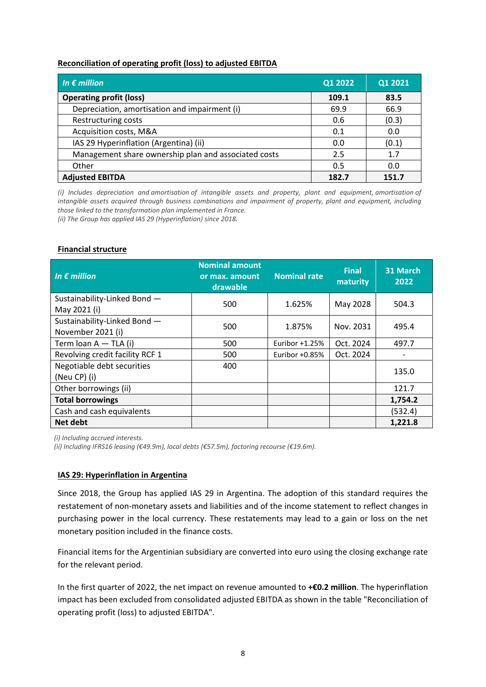### **Reconciliation of operating profit (loss) to adjusted EBITDA**

| In $\epsilon$ million<br>Q1 2022                     |       | Q1 2021 |
|------------------------------------------------------|-------|---------|
| <b>Operating profit (loss)</b>                       | 109.1 | 83.5    |
| Depreciation, amortisation and impairment (i)        | 69.9  | 66.9    |
| Restructuring costs                                  | 0.6   | (0.3)   |
| Acquisition costs, M&A                               | 0.1   | 0.0     |
| IAS 29 Hyperinflation (Argentina) (ii)               | 0.0   | (0.1)   |
| Management share ownership plan and associated costs | 2.5   | 1.7     |
| Other                                                | 0.5   | 0.0     |
| <b>Adjusted EBITDA</b>                               | 182.7 | 151.7   |

*(i) Includes depreciation and amortisation of intangible assets and property, plant and equipment, amortisation of intangible assets acquired through business combinations and impairment of property, plant and equipment, including those linked to the transformation plan implemented in France.*

*(ii) The Group has applied IAS 29 (Hyperinflation) since 2018.*

### **Financial structure**

| In $\epsilon$ million                             | <b>Nominal amount</b><br>or max. amount<br>drawable | <b>Nominal rate</b> | <b>Final</b><br>maturity | 31 March<br>2022 |
|---------------------------------------------------|-----------------------------------------------------|---------------------|--------------------------|------------------|
| Sustainability-Linked Bond -<br>May 2021 (i)      | 500                                                 | 1.625%              | May 2028                 | 504.3            |
| Sustainability-Linked Bond -<br>November 2021 (i) | 500                                                 | 1.875%              | Nov. 2031                | 495.4            |
| Term loan A - TLA (i)                             | 500                                                 | Euribor $+1.25%$    | Oct. 2024                | 497.7            |
| Revolving credit facility RCF 1                   | 500                                                 | Euribor $+0.85%$    | Oct. 2024                |                  |
| Negotiable debt securities<br>(Neu CP) (i)        | 400                                                 |                     |                          | 135.0            |
| Other borrowings (ii)                             |                                                     |                     |                          | 121.7            |
| <b>Total borrowings</b>                           |                                                     |                     |                          | 1,754.2          |
| Cash and cash equivalents                         |                                                     |                     |                          | (532.4)          |
| <b>Net debt</b>                                   |                                                     |                     |                          | 1,221.8          |

*(i) Including accrued interests.*

*(ii) Including IFRS16 leasing (€49.9m), local debts (€57.5m), factoring recourse (€19.6m).*

# **IAS 29: Hyperinflation in Argentina**

Since 2018, the Group has applied IAS 29 in Argentina. The adoption of this standard requires the restatement of non-monetary assets and liabilities and of the income statement to reflect changes in purchasing power in the local currency. These restatements may lead to a gain or loss on the net monetary position included in the finance costs.

Financial items for the Argentinian subsidiary are converted into euro using the closing exchange rate for the relevant period.

In the first quarter of 2022, the net impact on revenue amounted to **+€0.2 million**. The hyperinflation impact has been excluded from consolidated adjusted EBITDA as shown in the table "Reconciliation of operating profit (loss) to adjusted EBITDA".